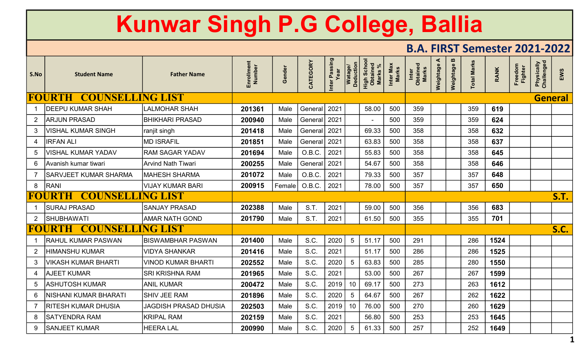## Kunwar Singh P.G College, Ballia

## B.A. FIRST Semester 2021-2022

| S.No            | <b>Student Name</b>                      | <b>Father Name</b>           | Enrollment<br>Number | Gender | CATEGORY    | Inter Passing<br>Year | Watage/<br>Deduction | High School<br>Obtained<br>Marks % | Inter Max<br>Marks | <b>Obtained</b><br>Marks<br>Inter | ⋖<br>Weightage | Weightage B | <b>Total Marks</b> | RANK | Freedom<br><b>Fighter</b> | <b>Physically</b><br>Challenged | EWS            |
|-----------------|------------------------------------------|------------------------------|----------------------|--------|-------------|-----------------------|----------------------|------------------------------------|--------------------|-----------------------------------|----------------|-------------|--------------------|------|---------------------------|---------------------------------|----------------|
|                 | <b>FOURTH</b><br><b>COUNSELLING LIST</b> |                              |                      |        |             |                       |                      |                                    |                    |                                   |                |             |                    |      |                           |                                 | <b>General</b> |
|                 | <b>DEEPU KUMAR SHAH</b>                  | LALMOHAR SHAH                | 201361               | Male   | General     | 2021                  |                      | 58.00                              | 500                | 359                               |                |             | 359                | 619  |                           |                                 |                |
| $2^{\circ}$     | <b>ARJUN PRASAD</b>                      | BHIKHARI PRASAD              | 200940               | Male   | General     | 2021                  |                      |                                    | 500                | 359                               |                |             | 359                | 624  |                           |                                 |                |
| 3               | <b>VISHAL KUMAR SINGH</b>                | ranjit singh                 | 201418               | Male   | General     | 2021                  |                      | 69.33                              | 500                | 358                               |                |             | 358                | 632  |                           |                                 |                |
| 4               | <b>IRFAN ALI</b>                         | <b>MD ISRAFIL</b>            | 201851               | Male   | General     | 2021                  |                      | 63.83                              | 500                | 358                               |                |             | 358                | 637  |                           |                                 |                |
| 5               | VISHAL KUMAR YADAV                       | RAM SAGAR YADAV              | 201694               | Male   | O.B.C.      | 2021                  |                      | 55.83                              | 500                | 358                               |                |             | 358                | 645  |                           |                                 |                |
| $6^{\circ}$     | İAvanish kumar tiwari                    | Arvind Nath Tiwari           | 200255               | Male   | General     | 2021                  |                      | 54.67                              | 500                | 358                               |                |             | 358                | 646  |                           |                                 |                |
| $\overline{7}$  | <b>SARVJEET KUMAR SHARMA</b>             | <b>MAHESH SHARMA</b>         | 201072               | Male   | O.B.C.      | 2021                  |                      | 79.33                              | 500                | 357                               |                |             | 357                | 648  |                           |                                 |                |
| 8               | RANI                                     | VIJAY KUMAR BARI             | 200915               | Female | O.B.C.      | 2021                  |                      | 78.00                              | 500                | 357                               |                |             | 357                | 650  |                           |                                 |                |
|                 | <b>COUNSELLING LIST</b><br><b>FOURTH</b> |                              |                      |        |             |                       |                      |                                    |                    |                                   |                |             |                    |      |                           |                                 | <b>S.T.</b>    |
|                 | <b>SURAJ PRASAD</b>                      | SANJAY PRASAD                | 202388               | Male   | <b>S.T.</b> | 2021                  |                      | 59.00                              | 500                | 356                               |                |             | 356                | 683  |                           |                                 |                |
| $2^{\circ}$     | SHUBHAWATI                               | <b>AMAR NATH GOND</b>        | 201790               | Male   | <b>S.T.</b> | 2021                  |                      | 61.50                              | 500                | 355                               |                |             | 355                | 701  |                           |                                 |                |
|                 | FOURTH                                   | NG LIST                      |                      |        |             |                       |                      |                                    |                    |                                   |                |             |                    |      |                           |                                 | <b>S.C.</b>    |
|                 | <b>RAHUL KUMAR PASWAN</b>                | <b>BISWAMBHAR PASWAN</b>     | 201400               | Male   | S.C.        | 2020                  | $5\phantom{.0}$      | 51.17                              | 500                | 291                               |                |             | 286                | 1524 |                           |                                 |                |
| $\mathbf{2}$    | HIMANSHU KUMAR                           | <b>VIDYA SHANKAR</b>         | 201416               | Male   | S.C.        | 2021                  |                      | 51.17                              | 500                | 286                               |                |             | 286                | 1525 |                           |                                 |                |
| 3               | VIKASH KUMAR BHARTI                      | <b>VINOD KUMAR BHARTI</b>    | 202552               | Male   | S.C.        | 2020                  | -5                   | 63.83                              | 500                | 285                               |                |             | 280                | 1550 |                           |                                 |                |
| 4               | <b>AJEET KUMAR</b>                       | SRI KRISHNA RAM              | 201965               | Male   | S.C.        | 2021                  |                      | 53.00                              | 500                | 267                               |                |             | 267                | 1599 |                           |                                 |                |
| $5\overline{)}$ | <b>ASHUTOSH KUMAR</b>                    | <b>ANIL KUMAR</b>            | 200472               | Male   | S.C.        | 2019                  | 10                   | 69.17                              | 500                | 273                               |                |             | 263                | 1612 |                           |                                 |                |
| 6               | NISHANI KUMAR BHARATI                    | <b>SHIV JEE RAM</b>          | 201896               | Male   | S.C.        | 2020                  | 5                    | 64.67                              | 500                | 267                               |                |             | 262                | 1622 |                           |                                 |                |
|                 | <b>RITESH KUMAR DHUSIA</b>               | <b>JAGDISH PRASAD DHUSIA</b> | 202503               | Male   | S.C.        | 2019                  | 10                   | 76.00                              | 500                | 270                               |                |             | 260                | 1629 |                           |                                 |                |
| 8               | <b>SATYENDRA RAM</b>                     | <b>KRIPAL RAM</b>            | 202159               | Male   | S.C.        | 2021                  |                      | 56.80                              | 500                | 253                               |                |             | 253                | 1645 |                           |                                 |                |
| 9               | <b>SANJEET KUMAR</b>                     | <b>HEERA LAL</b>             | 200990               | Male   | S.C.        | 2020                  | $5\phantom{.0}$      | 61.33                              | 500                | 257                               |                |             | 252                | 1649 |                           |                                 |                |